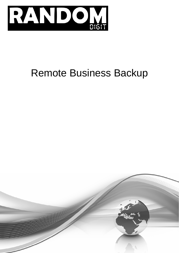

# Remote Business Backup

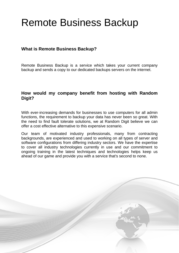## Remote Business Backup

## **What is Remote Business Backup?**

Remote Business Backup is a service which takes your current company backup and sends a copy to our dedicated backups servers on the internet.

## **How would my company benefit from hosting with Random Digit?**

With ever-increasing demands for businesses to use computers for all admin functions, the requirement to backup your data has never been so great. With the need to find fault tolerate solutions, we at Random Digit believe we can offer a cost effective alternative to this expensive scenario.

Our team of motivated industry professionals, many from contracting backgrounds, are experienced and used to working on all types of server and software configurations from differing industry sectors. We have the expertise to cover all industry technologies currently in use and our commitment to ongoing training in the latest techniques and technologies helps keep us ahead of our game and provide you with a service that's second to none.

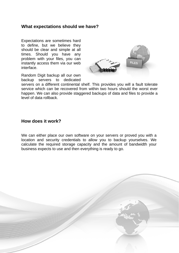#### **What expectations should we have?**

Expectations are sometimes hard to define, but we believe they should be clear and simple at all times. Should you have any problem with your files, you can instantly access them via our web interface.



Random Digit backup all our own backup servers to dedicated

servers on a different continental shelf. This provides you will a fault tolerate service which can be recovered from within two hours should the worst ever happen. We can also provide staggered backups of data and files to provide a level of data rollback.

#### **How does it work?**

We can either place our own software on your servers or proved you with a location and security credentials to allow you to backup yourselves. We calculate the required storage capacity and the amount of bandwidth your business expects to use and then everything is ready to go.